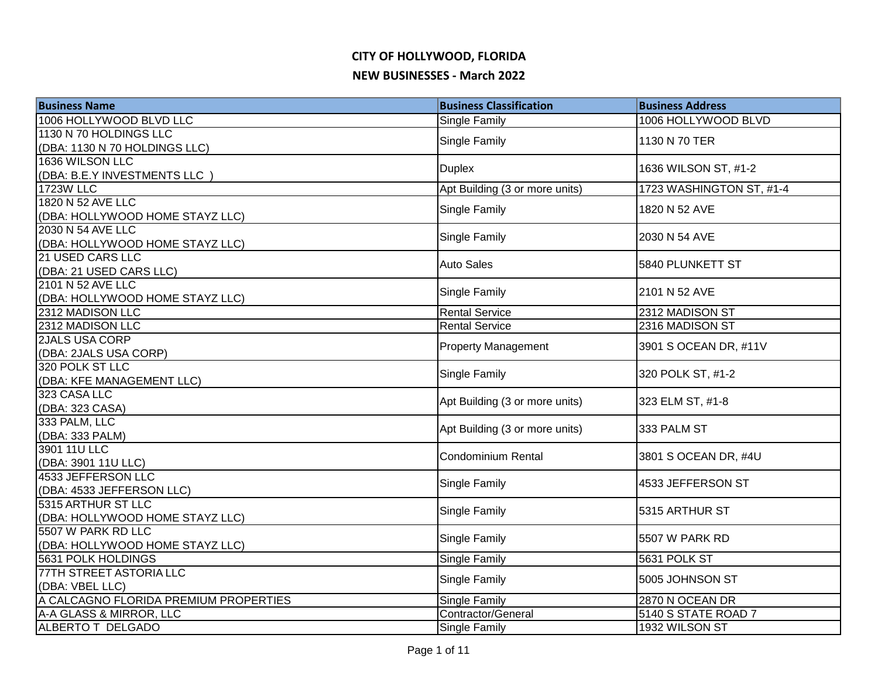| <b>Business Name</b>                      | <b>Business Classification</b> | <b>Business Address</b>  |
|-------------------------------------------|--------------------------------|--------------------------|
| 1006 HOLLYWOOD BLVD LLC                   | Single Family                  | 1006 HOLLYWOOD BLVD      |
| 1130 N 70 HOLDINGS LLC                    | Single Family                  | 1130 N 70 TER            |
| (DBA: 1130 N 70 HOLDINGS LLC)             |                                |                          |
| 1636 WILSON LLC                           | <b>Duplex</b>                  | 1636 WILSON ST, #1-2     |
| (DBA: B.E.Y INVESTMENTS LLC)              |                                |                          |
| <b>1723W LLC</b>                          | Apt Building (3 or more units) | 1723 WASHINGTON ST, #1-4 |
| 1820 N 52 AVE LLC                         | <b>Single Family</b>           | 1820 N 52 AVE            |
| (DBA: HOLLYWOOD HOME STAYZ LLC)           |                                |                          |
| 2030 N 54 AVE LLC                         | Single Family                  | 2030 N 54 AVE            |
| (DBA: HOLLYWOOD HOME STAYZ LLC)           |                                |                          |
| 21 USED CARS LLC                          | <b>Auto Sales</b>              | 5840 PLUNKETT ST         |
| (DBA: 21 USED CARS LLC)                   |                                |                          |
| 2101 N 52 AVE LLC                         | <b>Single Family</b>           | 2101 N 52 AVE            |
| (DBA: HOLLYWOOD HOME STAYZ LLC)           |                                |                          |
| 2312 MADISON LLC                          | <b>Rental Service</b>          | 2312 MADISON ST          |
| 2312 MADISON LLC                          | <b>Rental Service</b>          | 2316 MADISON ST          |
| <b>2JALS USA CORP</b>                     | <b>Property Management</b>     | 3901 S OCEAN DR, #11V    |
| (DBA: 2JALS USA CORP)<br>320 POLK ST LLC  |                                |                          |
|                                           | Single Family                  | 320 POLK ST, #1-2        |
| (DBA: KFE MANAGEMENT LLC)<br>323 CASA LLC |                                |                          |
| (DBA: 323 CASA)                           | Apt Building (3 or more units) | 323 ELM ST, #1-8         |
| 333 PALM, LLC                             |                                |                          |
| (DBA: 333 PALM)                           | Apt Building (3 or more units) | 333 PALM ST              |
| 3901 11U LLC                              |                                |                          |
| (DBA: 3901 11U LLC)                       | Condominium Rental             | 3801 S OCEAN DR, #4U     |
| 4533 JEFFERSON LLC                        |                                |                          |
| (DBA: 4533 JEFFERSON LLC)                 | Single Family                  | 4533 JEFFERSON ST        |
| 5315 ARTHUR ST LLC                        |                                |                          |
| (DBA: HOLLYWOOD HOME STAYZ LLC)           | Single Family                  | 5315 ARTHUR ST           |
| 5507 W PARK RD LLC                        |                                |                          |
| (DBA: HOLLYWOOD HOME STAYZ LLC)           | <b>Single Family</b>           | 5507 W PARK RD           |
| 5631 POLK HOLDINGS                        | <b>Single Family</b>           | 5631 POLK ST             |
| 77TH STREET ASTORIA LLC                   |                                | 5005 JOHNSON ST          |
| (DBA: VBEL LLC)                           | Single Family                  |                          |
| A CALCAGNO FLORIDA PREMIUM PROPERTIES     | <b>Single Family</b>           | 2870 N OCEAN DR          |
| A-A GLASS & MIRROR, LLC                   | Contractor/General             | 5140 S STATE ROAD 7      |
| <b>ALBERTO T DELGADO</b>                  | <b>Single Family</b>           | 1932 WILSON ST           |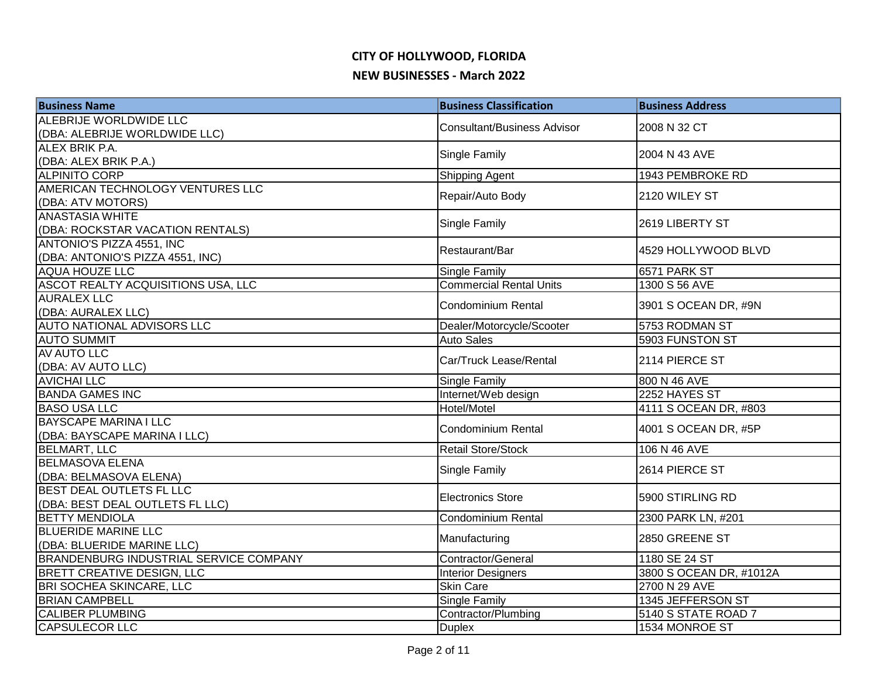| <b>Business Name</b>                          | <b>Business Classification</b>     | <b>Business Address</b> |
|-----------------------------------------------|------------------------------------|-------------------------|
| ALEBRIJE WORLDWIDE LLC                        | <b>Consultant/Business Advisor</b> | 2008 N 32 CT            |
| (DBA: ALEBRIJE WORLDWIDE LLC)                 |                                    |                         |
| ALEX BRIK P.A.                                | Single Family                      | 2004 N 43 AVE           |
| (DBA: ALEX BRIK P.A.)                         |                                    |                         |
| <b>ALPINITO CORP</b>                          | Shipping Agent                     | 1943 PEMBROKE RD        |
| AMERICAN TECHNOLOGY VENTURES LLC              | Repair/Auto Body                   | 2120 WILEY ST           |
| (DBA: ATV MOTORS)                             |                                    |                         |
| <b>ANASTASIA WHITE</b>                        | Single Family                      | 2619 LIBERTY ST         |
| (DBA: ROCKSTAR VACATION RENTALS)              |                                    |                         |
| ANTONIO'S PIZZA 4551, INC                     | Restaurant/Bar                     | 4529 HOLLYWOOD BLVD     |
| (DBA: ANTONIO'S PIZZA 4551, INC)              |                                    |                         |
| <b>AQUA HOUZE LLC</b>                         | Single Family                      | 6571 PARK ST            |
| ASCOT REALTY ACQUISITIONS USA, LLC            | <b>Commercial Rental Units</b>     | 1300 S 56 AVE           |
| <b>AURALEX LLC</b>                            | Condominium Rental                 | 3901 S OCEAN DR, #9N    |
| (DBA: AURALEX LLC)                            |                                    |                         |
| <b>AUTO NATIONAL ADVISORS LLC</b>             | Dealer/Motorcycle/Scooter          | 5753 RODMAN ST          |
| <b>AUTO SUMMIT</b>                            | <b>Auto Sales</b>                  | 5903 FUNSTON ST         |
| AV AUTO LLC                                   | Car/Truck Lease/Rental             | 2114 PIERCE ST          |
| (DBA: AV AUTO LLC)                            |                                    |                         |
| <b>AVICHAI LLC</b>                            | Single Family                      | 800 N 46 AVE            |
| <b>BANDA GAMES INC</b>                        | Internet/Web design                | 2252 HAYES ST           |
| <b>BASO USA LLC</b>                           | Hotel/Motel                        | 4111 S OCEAN DR, #803   |
| <b>BAYSCAPE MARINA I LLC</b>                  | <b>Condominium Rental</b>          | 4001 S OCEAN DR, #5P    |
| (DBA: BAYSCAPE MARINA I LLC)                  |                                    |                         |
| <b>BELMART, LLC</b>                           | <b>Retail Store/Stock</b>          | 106 N 46 AVE            |
| <b>BELMASOVA ELENA</b>                        | Single Family                      | 2614 PIERCE ST          |
| (DBA: BELMASOVA ELENA)                        |                                    |                         |
| <b>BEST DEAL OUTLETS FL LLC</b>               | <b>Electronics Store</b>           | 5900 STIRLING RD        |
| (DBA: BEST DEAL OUTLETS FL LLC)               |                                    |                         |
| <b>BETTY MENDIOLA</b>                         | <b>Condominium Rental</b>          | 2300 PARK LN, #201      |
| <b>BLUERIDE MARINE LLC</b>                    | Manufacturing                      | 2850 GREENE ST          |
| (DBA: BLUERIDE MARINE LLC)                    |                                    |                         |
| <b>BRANDENBURG INDUSTRIAL SERVICE COMPANY</b> | Contractor/General                 | 1180 SE 24 ST           |
| <b>BRETT CREATIVE DESIGN, LLC</b>             | <b>Interior Designers</b>          | 3800 S OCEAN DR, #1012A |
| BRI SOCHEA SKINCARE, LLC                      | <b>Skin Care</b>                   | 2700 N 29 AVE           |
| <b>BRIAN CAMPBELL</b>                         | Single Family                      | 1345 JEFFERSON ST       |
| <b>CALIBER PLUMBING</b>                       | Contractor/Plumbing                | 5140 S STATE ROAD 7     |
| <b>CAPSULECOR LLC</b>                         | <b>Duplex</b>                      | 1534 MONROE ST          |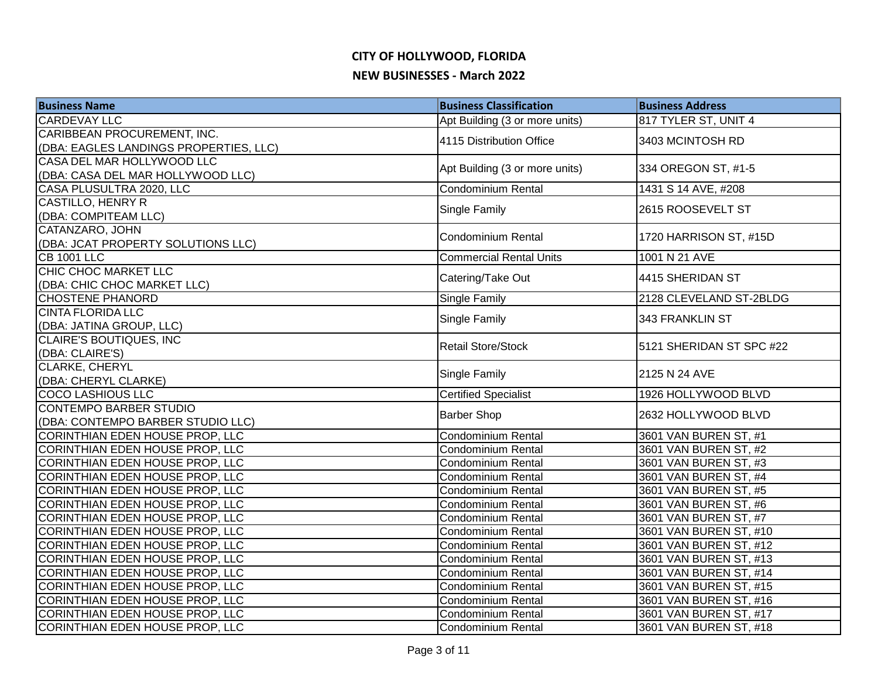| <b>Business Name</b>                   | <b>Business Classification</b> | <b>Business Address</b>  |
|----------------------------------------|--------------------------------|--------------------------|
| <b>CARDEVAY LLC</b>                    | Apt Building (3 or more units) | 817 TYLER ST, UNIT 4     |
| CARIBBEAN PROCUREMENT, INC.            | 4115 Distribution Office       | 3403 MCINTOSH RD         |
| (DBA: EAGLES LANDINGS PROPERTIES, LLC) |                                |                          |
| CASA DEL MAR HOLLYWOOD LLC             | Apt Building (3 or more units) | 334 OREGON ST, #1-5      |
| (DBA: CASA DEL MAR HOLLYWOOD LLC)      |                                |                          |
| CASA PLUSULTRA 2020, LLC               | <b>Condominium Rental</b>      | 1431 S 14 AVE, #208      |
| <b>CASTILLO, HENRY R</b>               | Single Family                  | 2615 ROOSEVELT ST        |
| (DBA: COMPITEAM LLC)                   |                                |                          |
| CATANZARO, JOHN                        | Condominium Rental             | 1720 HARRISON ST, #15D   |
| (DBA: JCAT PROPERTY SOLUTIONS LLC)     |                                |                          |
| <b>CB 1001 LLC</b>                     | <b>Commercial Rental Units</b> | 1001 N 21 AVE            |
| CHIC CHOC MARKET LLC                   | Catering/Take Out              | 4415 SHERIDAN ST         |
| (DBA: CHIC CHOC MARKET LLC)            |                                |                          |
| <b>CHOSTENE PHANORD</b>                | Single Family                  | 2128 CLEVELAND ST-2BLDG  |
| <b>CINTA FLORIDA LLC</b>               | Single Family                  | 343 FRANKLIN ST          |
| (DBA: JATINA GROUP, LLC)               |                                |                          |
| CLAIRE'S BOUTIQUES, INC                | <b>Retail Store/Stock</b>      | 5121 SHERIDAN ST SPC #22 |
| (DBA: CLAIRE'S)                        |                                |                          |
| <b>CLARKE, CHERYL</b>                  | Single Family                  | 2125 N 24 AVE            |
| (DBA: CHERYL CLARKE)                   |                                |                          |
| <b>COCO LASHIOUS LLC</b>               | <b>Certified Specialist</b>    | 1926 HOLLYWOOD BLVD      |
| <b>CONTEMPO BARBER STUDIO</b>          | <b>Barber Shop</b>             | 2632 HOLLYWOOD BLVD      |
| (DBA: CONTEMPO BARBER STUDIO LLC)      |                                |                          |
| CORINTHIAN EDEN HOUSE PROP, LLC        | <b>Condominium Rental</b>      | 3601 VAN BUREN ST, #1    |
| CORINTHIAN EDEN HOUSE PROP, LLC        | <b>Condominium Rental</b>      | 3601 VAN BUREN ST, #2    |
| CORINTHIAN EDEN HOUSE PROP, LLC        | Condominium Rental             | 3601 VAN BUREN ST, #3    |
| <b>CORINTHIAN EDEN HOUSE PROP, LLC</b> | Condominium Rental             | 3601 VAN BUREN ST, #4    |
| <b>CORINTHIAN EDEN HOUSE PROP, LLC</b> | <b>Condominium Rental</b>      | 3601 VAN BUREN ST, #5    |
| <b>CORINTHIAN EDEN HOUSE PROP, LLC</b> | Condominium Rental             | 3601 VAN BUREN ST, #6    |
| CORINTHIAN EDEN HOUSE PROP, LLC        | <b>Condominium Rental</b>      | 3601 VAN BUREN ST, #7    |
| CORINTHIAN EDEN HOUSE PROP, LLC        | <b>Condominium Rental</b>      | 3601 VAN BUREN ST, #10   |
| <b>CORINTHIAN EDEN HOUSE PROP, LLC</b> | <b>Condominium Rental</b>      | 3601 VAN BUREN ST, #12   |
| CORINTHIAN EDEN HOUSE PROP, LLC        | <b>Condominium Rental</b>      | 3601 VAN BUREN ST, #13   |
| CORINTHIAN EDEN HOUSE PROP, LLC        | Condominium Rental             | 3601 VAN BUREN ST, #14   |
| <b>CORINTHIAN EDEN HOUSE PROP, LLC</b> | <b>Condominium Rental</b>      | 3601 VAN BUREN ST, #15   |
| CORINTHIAN EDEN HOUSE PROP, LLC        | Condominium Rental             | 3601 VAN BUREN ST, #16   |
| CORINTHIAN EDEN HOUSE PROP, LLC        | <b>Condominium Rental</b>      | 3601 VAN BUREN ST, #17   |
| <b>CORINTHIAN EDEN HOUSE PROP, LLC</b> | <b>Condominium Rental</b>      | 3601 VAN BUREN ST, #18   |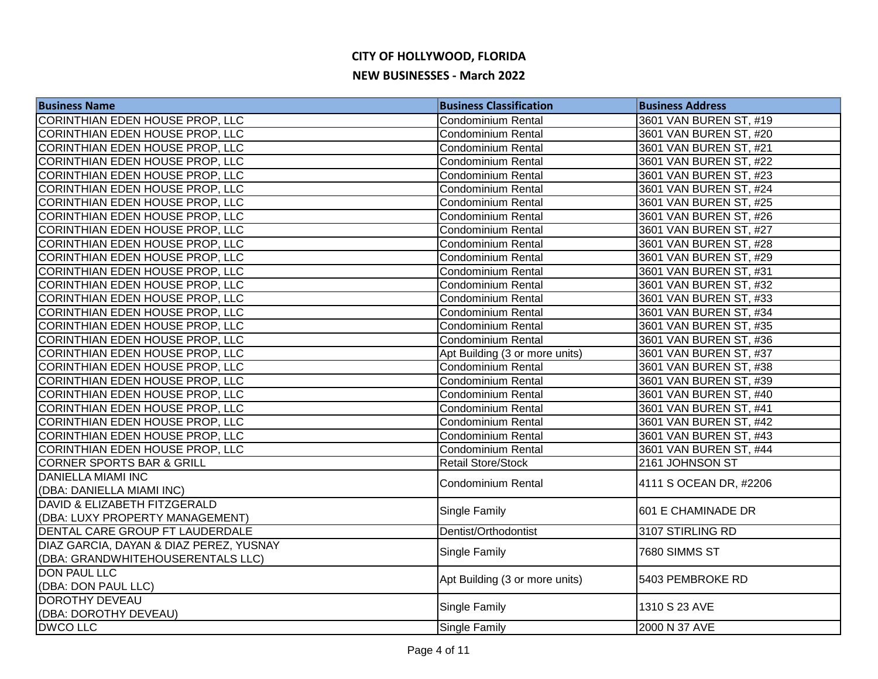| <b>Business Name</b>                    | <b>Business Classification</b> | <b>Business Address</b> |
|-----------------------------------------|--------------------------------|-------------------------|
| CORINTHIAN EDEN HOUSE PROP, LLC         | <b>Condominium Rental</b>      | 3601 VAN BUREN ST, #19  |
| CORINTHIAN EDEN HOUSE PROP, LLC         | <b>Condominium Rental</b>      | 3601 VAN BUREN ST, #20  |
| CORINTHIAN EDEN HOUSE PROP, LLC         | <b>Condominium Rental</b>      | 3601 VAN BUREN ST, #21  |
| CORINTHIAN EDEN HOUSE PROP, LLC         | <b>Condominium Rental</b>      | 3601 VAN BUREN ST, #22  |
| CORINTHIAN EDEN HOUSE PROP, LLC         | <b>Condominium Rental</b>      | 3601 VAN BUREN ST, #23  |
| CORINTHIAN EDEN HOUSE PROP, LLC         | <b>Condominium Rental</b>      | 3601 VAN BUREN ST, #24  |
| <b>CORINTHIAN EDEN HOUSE PROP, LLC</b>  | <b>Condominium Rental</b>      | 3601 VAN BUREN ST, #25  |
| CORINTHIAN EDEN HOUSE PROP, LLC         | Condominium Rental             | 3601 VAN BUREN ST, #26  |
| CORINTHIAN EDEN HOUSE PROP, LLC         | <b>Condominium Rental</b>      | 3601 VAN BUREN ST, #27  |
| CORINTHIAN EDEN HOUSE PROP, LLC         | <b>Condominium Rental</b>      | 3601 VAN BUREN ST, #28  |
| CORINTHIAN EDEN HOUSE PROP, LLC         | <b>Condominium Rental</b>      | 3601 VAN BUREN ST, #29  |
| CORINTHIAN EDEN HOUSE PROP, LLC         | <b>Condominium Rental</b>      | 3601 VAN BUREN ST, #31  |
| CORINTHIAN EDEN HOUSE PROP, LLC         | <b>Condominium Rental</b>      | 3601 VAN BUREN ST, #32  |
| CORINTHIAN EDEN HOUSE PROP, LLC         | <b>Condominium Rental</b>      | 3601 VAN BUREN ST, #33  |
| CORINTHIAN EDEN HOUSE PROP, LLC         | Condominium Rental             | 3601 VAN BUREN ST, #34  |
| CORINTHIAN EDEN HOUSE PROP, LLC         | <b>Condominium Rental</b>      | 3601 VAN BUREN ST, #35  |
| CORINTHIAN EDEN HOUSE PROP, LLC         | Condominium Rental             | 3601 VAN BUREN ST, #36  |
| CORINTHIAN EDEN HOUSE PROP, LLC         | Apt Building (3 or more units) | 3601 VAN BUREN ST, #37  |
| CORINTHIAN EDEN HOUSE PROP, LLC         | Condominium Rental             | 3601 VAN BUREN ST, #38  |
| CORINTHIAN EDEN HOUSE PROP, LLC         | Condominium Rental             | 3601 VAN BUREN ST, #39  |
| CORINTHIAN EDEN HOUSE PROP, LLC         | Condominium Rental             | 3601 VAN BUREN ST, #40  |
| CORINTHIAN EDEN HOUSE PROP, LLC         | <b>Condominium Rental</b>      | 3601 VAN BUREN ST, #41  |
| CORINTHIAN EDEN HOUSE PROP, LLC         | <b>Condominium Rental</b>      | 3601 VAN BUREN ST, #42  |
| CORINTHIAN EDEN HOUSE PROP, LLC         | <b>Condominium Rental</b>      | 3601 VAN BUREN ST, #43  |
| CORINTHIAN EDEN HOUSE PROP, LLC         | Condominium Rental             | 3601 VAN BUREN ST, #44  |
| <b>CORNER SPORTS BAR &amp; GRILL</b>    | <b>Retail Store/Stock</b>      | 2161 JOHNSON ST         |
| <b>DANIELLA MIAMI INC</b>               | Condominium Rental             | 4111 S OCEAN DR, #2206  |
| (DBA: DANIELLA MIAMI INC)               |                                |                         |
| DAVID & ELIZABETH FITZGERALD            | Single Family                  | 601 E CHAMINADE DR      |
| (DBA: LUXY PROPERTY MANAGEMENT)         |                                |                         |
| DENTAL CARE GROUP FT LAUDERDALE         | Dentist/Orthodontist           | 3107 STIRLING RD        |
| DIAZ GARCIA, DAYAN & DIAZ PEREZ, YUSNAY | <b>Single Family</b>           | 7680 SIMMS ST           |
| (DBA: GRANDWHITEHOUSERENTALS LLC)       |                                |                         |
| <b>DON PAUL LLC</b>                     | Apt Building (3 or more units) | 5403 PEMBROKE RD        |
| (DBA: DON PAUL LLC)                     |                                |                         |
| <b>DOROTHY DEVEAU</b>                   | <b>Single Family</b>           | 1310 S 23 AVE           |
| (DBA: DOROTHY DEVEAU)                   |                                |                         |
| <b>DWCO LLC</b>                         | <b>Single Family</b>           | 2000 N 37 AVE           |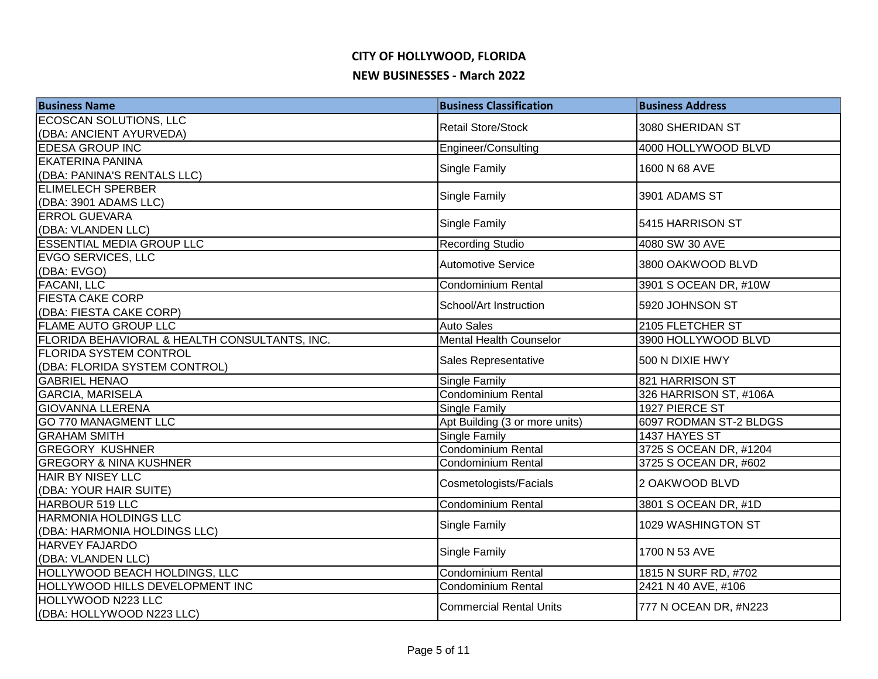| <b>Business Name</b>                          | <b>Business Classification</b> | <b>Business Address</b> |
|-----------------------------------------------|--------------------------------|-------------------------|
| <b>ECOSCAN SOLUTIONS, LLC</b>                 | <b>Retail Store/Stock</b>      | 3080 SHERIDAN ST        |
| (DBA: ANCIENT AYURVEDA)                       |                                |                         |
| EDESA GROUP INC                               | Engineer/Consulting            | 4000 HOLLYWOOD BLVD     |
| <b>EKATERINA PANINA</b>                       | <b>Single Family</b>           | 1600 N 68 AVE           |
| (DBA: PANINA'S RENTALS LLC)                   |                                |                         |
| <b>ELIMELECH SPERBER</b>                      | <b>Single Family</b>           | 3901 ADAMS ST           |
| (DBA: 3901 ADAMS LLC)                         |                                |                         |
| <b>ERROL GUEVARA</b>                          | Single Family                  | 5415 HARRISON ST        |
| (DBA: VLANDEN LLC)                            |                                |                         |
| <b>ESSENTIAL MEDIA GROUP LLC</b>              | <b>Recording Studio</b>        | 4080 SW 30 AVE          |
| <b>EVGO SERVICES, LLC</b>                     | <b>Automotive Service</b>      | 3800 OAKWOOD BLVD       |
| (DBA: EVGO)                                   |                                |                         |
| <b>FACANI, LLC</b>                            | Condominium Rental             | 3901 S OCEAN DR, #10W   |
| <b>FIESTA CAKE CORP</b>                       | School/Art Instruction         | 5920 JOHNSON ST         |
| (DBA: FIESTA CAKE CORP)                       |                                |                         |
| <b>FLAME AUTO GROUP LLC</b>                   | <b>Auto Sales</b>              | 2105 FLETCHER ST        |
| FLORIDA BEHAVIORAL & HEALTH CONSULTANTS, INC. | Mental Health Counselor        | 3900 HOLLYWOOD BLVD     |
| <b>FLORIDA SYSTEM CONTROL</b>                 | Sales Representative           | 500 N DIXIE HWY         |
| (DBA: FLORIDA SYSTEM CONTROL)                 |                                |                         |
| <b>GABRIEL HENAO</b>                          | <b>Single Family</b>           | 821 HARRISON ST         |
| <b>GARCIA, MARISELA</b>                       | Condominium Rental             | 326 HARRISON ST, #106A  |
| <b>GIOVANNA LLERENA</b>                       | Single Family                  | 1927 PIERCE ST          |
| <b>GO 770 MANAGMENT LLC</b>                   | Apt Building (3 or more units) | 6097 RODMAN ST-2 BLDGS  |
| <b>GRAHAM SMITH</b>                           | Single Family                  | 1437 HAYES ST           |
| <b>GREGORY KUSHNER</b>                        | Condominium Rental             | 3725 S OCEAN DR, #1204  |
| <b>GREGORY &amp; NINA KUSHNER</b>             | <b>Condominium Rental</b>      | 3725 S OCEAN DR, #602   |
| <b>HAIR BY NISEY LLC</b>                      | Cosmetologists/Facials         | 2 OAKWOOD BLVD          |
| (DBA: YOUR HAIR SUITE)                        |                                |                         |
| <b>HARBOUR 519 LLC</b>                        | <b>Condominium Rental</b>      | 3801 S OCEAN DR, #1D    |
| <b>HARMONIA HOLDINGS LLC</b>                  | Single Family                  | 1029 WASHINGTON ST      |
| (DBA: HARMONIA HOLDINGS LLC)                  |                                |                         |
| <b>HARVEY FAJARDO</b>                         | Single Family                  | 1700 N 53 AVE           |
| (DBA: VLANDEN LLC)                            |                                |                         |
| HOLLYWOOD BEACH HOLDINGS, LLC                 | Condominium Rental             | 1815 N SURF RD, #702    |
| HOLLYWOOD HILLS DEVELOPMENT INC               | <b>Condominium Rental</b>      | 2421 N 40 AVE, #106     |
| HOLLYWOOD N223 LLC                            | <b>Commercial Rental Units</b> | 777 N OCEAN DR, #N223   |
| (DBA: HOLLYWOOD N223 LLC)                     |                                |                         |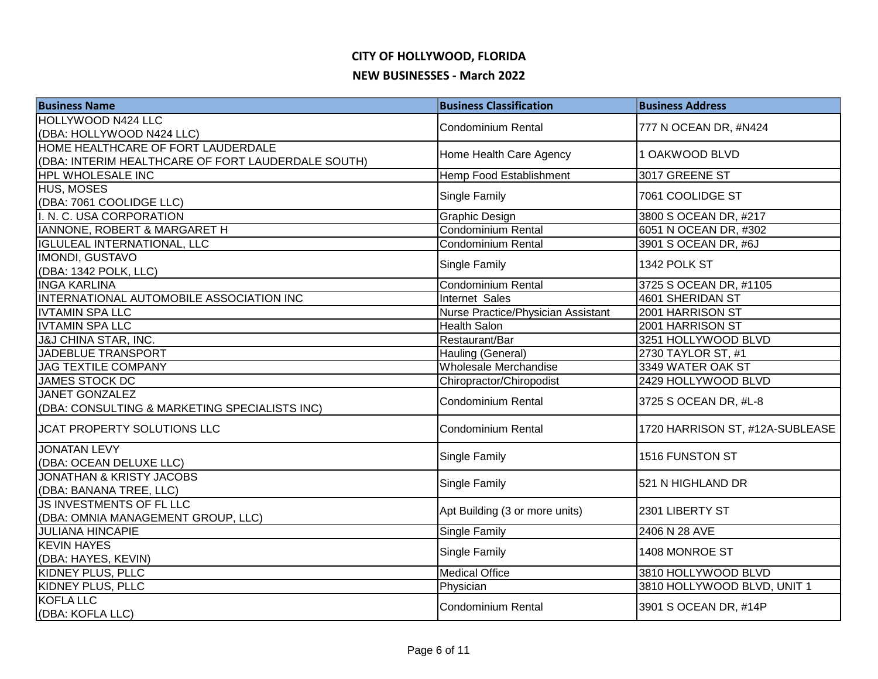| <b>Business Name</b>                               | <b>Business Classification</b>     | <b>Business Address</b>         |
|----------------------------------------------------|------------------------------------|---------------------------------|
| <b>HOLLYWOOD N424 LLC</b>                          | <b>Condominium Rental</b>          | 777 N OCEAN DR, #N424           |
| (DBA: HOLLYWOOD N424 LLC)                          |                                    |                                 |
| HOME HEALTHCARE OF FORT LAUDERDALE                 | Home Health Care Agency            | 1 OAKWOOD BLVD                  |
| (DBA: INTERIM HEALTHCARE OF FORT LAUDERDALE SOUTH) |                                    |                                 |
| HPL WHOLESALE INC                                  | Hemp Food Establishment            | 3017 GREENE ST                  |
| HUS, MOSES                                         | Single Family                      | 7061 COOLIDGE ST                |
| (DBA: 7061 COOLIDGE LLC)                           |                                    |                                 |
| I. N. C. USA CORPORATION                           | Graphic Design                     | 3800 S OCEAN DR, #217           |
| IANNONE, ROBERT & MARGARET H                       | Condominium Rental                 | 6051 N OCEAN DR, #302           |
| <b>IGLULEAL INTERNATIONAL, LLC</b>                 | <b>Condominium Rental</b>          | 3901 S OCEAN DR, #6J            |
| <b>IMONDI, GUSTAVO</b>                             | Single Family                      | 1342 POLK ST                    |
| (DBA: 1342 POLK, LLC)                              |                                    |                                 |
| <b>INGA KARLINA</b>                                | <b>Condominium Rental</b>          | 3725 S OCEAN DR, #1105          |
| INTERNATIONAL AUTOMOBILE ASSOCIATION INC           | Internet Sales                     | 4601 SHERIDAN ST                |
| <b>IVTAMIN SPA LLC</b>                             | Nurse Practice/Physician Assistant | 2001 HARRISON ST                |
| <b>IVTAMIN SPA LLC</b>                             | <b>Health Salon</b>                | 2001 HARRISON ST                |
| <b>J&amp;J CHINA STAR, INC.</b>                    | Restaurant/Bar                     | 3251 HOLLYWOOD BLVD             |
| JADEBLUE TRANSPORT                                 | Hauling (General)                  | 2730 TAYLOR ST, #1              |
| <b>JAG TEXTILE COMPANY</b>                         | Wholesale Merchandise              | 3349 WATER OAK ST               |
| JAMES STOCK DC                                     | Chiropractor/Chiropodist           | 2429 HOLLYWOOD BLVD             |
| <b>JANET GONZALEZ</b>                              | <b>Condominium Rental</b>          | 3725 S OCEAN DR, #L-8           |
| (DBA: CONSULTING & MARKETING SPECIALISTS INC)      |                                    |                                 |
| <b>JCAT PROPERTY SOLUTIONS LLC</b>                 | <b>Condominium Rental</b>          | 1720 HARRISON ST, #12A-SUBLEASE |
| <b>JONATAN LEVY</b>                                | <b>Single Family</b>               | 1516 FUNSTON ST                 |
| (DBA: OCEAN DELUXE LLC)                            |                                    |                                 |
| <b>JONATHAN &amp; KRISTY JACOBS</b>                | Single Family                      | 521 N HIGHLAND DR               |
| (DBA: BANANA TREE, LLC)                            |                                    |                                 |
| JS INVESTMENTS OF FL LLC                           | Apt Building (3 or more units)     | 2301 LIBERTY ST                 |
| (DBA: OMNIA MANAGEMENT GROUP, LLC)                 |                                    |                                 |
| <b>JULIANA HINCAPIE</b>                            | <b>Single Family</b>               | 2406 N 28 AVE                   |
| <b>KEVIN HAYES</b>                                 | Single Family                      | 1408 MONROE ST                  |
| (DBA: HAYES, KEVIN)                                |                                    |                                 |
| <b>KIDNEY PLUS, PLLC</b>                           | <b>Medical Office</b>              | 3810 HOLLYWOOD BLVD             |
| KIDNEY PLUS, PLLC                                  | Physician                          | 3810 HOLLYWOOD BLVD, UNIT 1     |
| <b>KOFLA LLC</b>                                   | <b>Condominium Rental</b>          | 3901 S OCEAN DR, #14P           |
| (DBA: KOFLA LLC)                                   |                                    |                                 |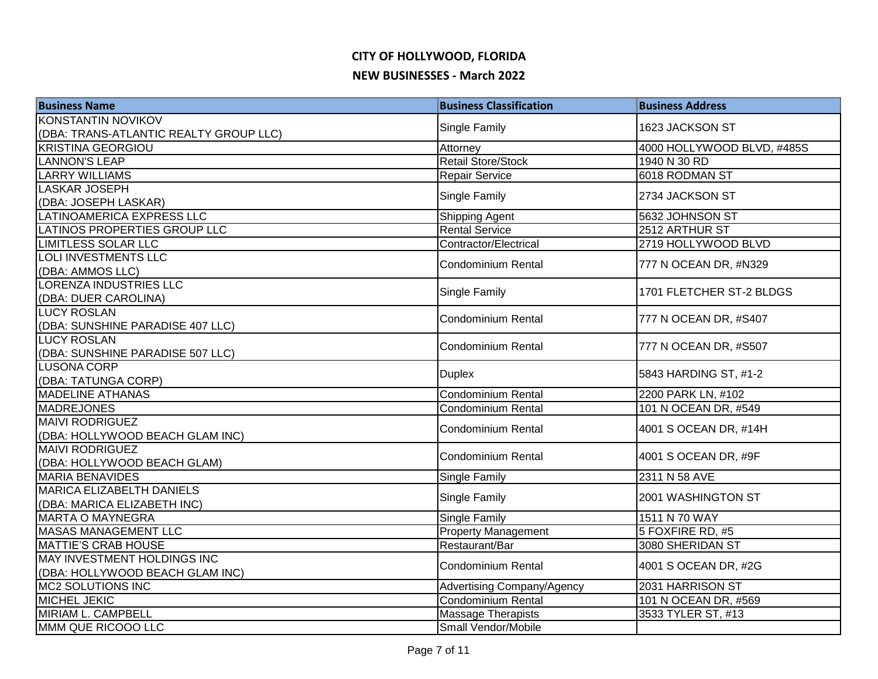| <b>Business Name</b>                   | <b>Business Classification</b> | <b>Business Address</b>    |
|----------------------------------------|--------------------------------|----------------------------|
| <b>KONSTANTIN NOVIKOV</b>              | Single Family                  | 1623 JACKSON ST            |
| (DBA: TRANS-ATLANTIC REALTY GROUP LLC) |                                |                            |
| <b>KRISTINA GEORGIOU</b>               | Attorney                       | 4000 HOLLYWOOD BLVD, #485S |
| <b>LANNON'S LEAP</b>                   | <b>Retail Store/Stock</b>      | 1940 N 30 RD               |
| <b>LARRY WILLIAMS</b>                  | <b>Repair Service</b>          | 6018 RODMAN ST             |
| <b>LASKAR JOSEPH</b>                   | Single Family                  | 2734 JACKSON ST            |
| (DBA: JOSEPH LASKAR)                   |                                |                            |
| LATINOAMERICA EXPRESS LLC              | Shipping Agent                 | 5632 JOHNSON ST            |
| LATINOS PROPERTIES GROUP LLC           | <b>Rental Service</b>          | 2512 ARTHUR ST             |
| <b>LIMITLESS SOLAR LLC</b>             | Contractor/Electrical          | 2719 HOLLYWOOD BLVD        |
| <b>LOLI INVESTMENTS LLC</b>            | <b>Condominium Rental</b>      | 777 N OCEAN DR, #N329      |
| (DBA: AMMOS LLC)                       |                                |                            |
| <b>LORENZA INDUSTRIES LLC</b>          | Single Family                  | 1701 FLETCHER ST-2 BLDGS   |
| (DBA: DUER CAROLINA)                   |                                |                            |
| <b>LUCY ROSLAN</b>                     | <b>Condominium Rental</b>      | 777 N OCEAN DR, #S407      |
| (DBA: SUNSHINE PARADISE 407 LLC)       |                                |                            |
| <b>LUCY ROSLAN</b>                     | <b>Condominium Rental</b>      | 777 N OCEAN DR, #S507      |
| (DBA: SUNSHINE PARADISE 507 LLC)       |                                |                            |
| LUSONA CORP                            | <b>Duplex</b>                  | 5843 HARDING ST, #1-2      |
| (DBA: TATUNGA CORP)                    |                                |                            |
| <b>MADELINE ATHANAS</b>                | <b>Condominium Rental</b>      | 2200 PARK LN, #102         |
| MADREJONES                             | Condominium Rental             | 101 N OCEAN DR, #549       |
| <b>MAIVI RODRIGUEZ</b>                 | <b>Condominium Rental</b>      | 4001 S OCEAN DR, #14H      |
| (DBA: HOLLYWOOD BEACH GLAM INC)        |                                |                            |
| <b>MAIVI RODRIGUEZ</b>                 | <b>Condominium Rental</b>      | 4001 S OCEAN DR, #9F       |
| (DBA: HOLLYWOOD BEACH GLAM)            |                                |                            |
| <b>MARIA BENAVIDES</b>                 | Single Family                  | 2311 N 58 AVE              |
| MARICA ELIZABELTH DANIELS              | Single Family                  | 2001 WASHINGTON ST         |
| (DBA: MARICA ELIZABETH INC)            |                                |                            |
| <b>MARTA O MAYNEGRA</b>                | Single Family                  | 1511 N 70 WAY              |
| <b>MASAS MANAGEMENT LLC</b>            | <b>Property Management</b>     | 5 FOXFIRE RD, #5           |
| <b>MATTIE'S CRAB HOUSE</b>             | Restaurant/Bar                 | 3080 SHERIDAN ST           |
| MAY INVESTMENT HOLDINGS INC            | <b>Condominium Rental</b>      | 4001 S OCEAN DR, #2G       |
| (DBA: HOLLYWOOD BEACH GLAM INC)        |                                |                            |
| MC2 SOLUTIONS INC                      | Advertising Company/Agency     | 2031 HARRISON ST           |
| MICHEL JEKIC                           | Condominium Rental             | 101 N OCEAN DR, #569       |
| <b>MIRIAM L. CAMPBELL</b>              | <b>Massage Therapists</b>      | 3533 TYLER ST, #13         |
| MMM QUE RICOOO LLC                     | Small Vendor/Mobile            |                            |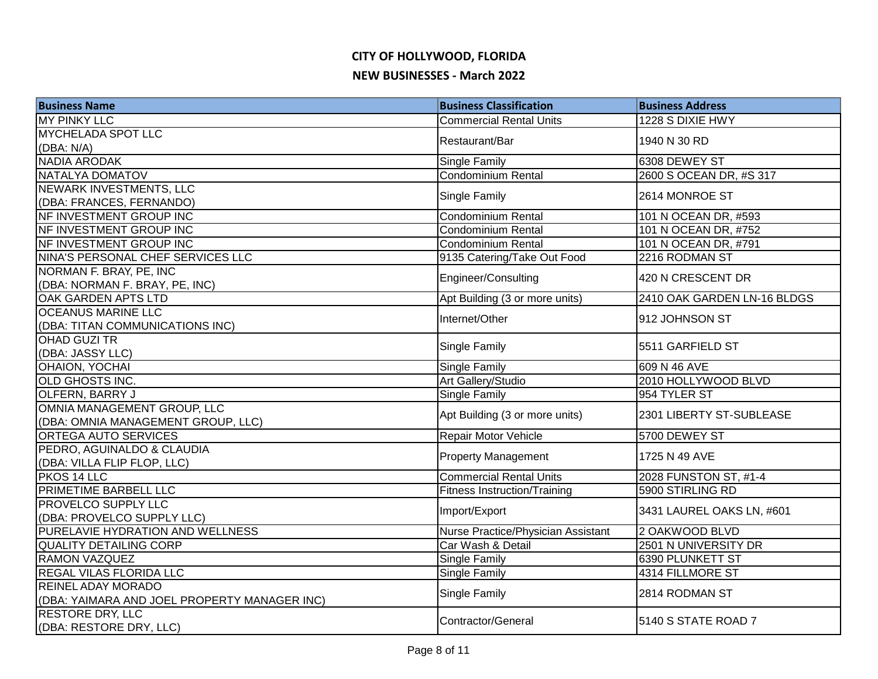| <b>Business Name</b>                         | <b>Business Classification</b>      | <b>Business Address</b>     |
|----------------------------------------------|-------------------------------------|-----------------------------|
| <b>MY PINKY LLC</b>                          | <b>Commercial Rental Units</b>      | 1228 S DIXIE HWY            |
| <b>MYCHELADA SPOT LLC</b>                    | Restaurant/Bar                      | 1940 N 30 RD                |
| (DBA: N/A)                                   |                                     |                             |
| NADIA ARODAK                                 | Single Family                       | 6308 DEWEY ST               |
| <b>NATALYA DOMATOV</b>                       | <b>Condominium Rental</b>           | 2600 S OCEAN DR, #S 317     |
| NEWARK INVESTMENTS, LLC                      |                                     | 2614 MONROE ST              |
| (DBA: FRANCES, FERNANDO)                     | Single Family                       |                             |
| NF INVESTMENT GROUP INC                      | <b>Condominium Rental</b>           | 101 N OCEAN DR, #593        |
| NF INVESTMENT GROUP INC                      | <b>Condominium Rental</b>           | 101 N OCEAN DR, #752        |
| NF INVESTMENT GROUP INC                      | Condominium Rental                  | 101 N OCEAN DR, #791        |
| NINA'S PERSONAL CHEF SERVICES LLC            | 9135 Catering/Take Out Food         | 2216 RODMAN ST              |
| NORMAN F. BRAY, PE, INC                      |                                     |                             |
| (DBA: NORMAN F. BRAY, PE, INC)               | Engineer/Consulting                 | 420 N CRESCENT DR           |
| OAK GARDEN APTS LTD                          | Apt Building (3 or more units)      | 2410 OAK GARDEN LN-16 BLDGS |
| <b>OCEANUS MARINE LLC</b>                    |                                     |                             |
| (DBA: TITAN COMMUNICATIONS INC)              | Internet/Other                      | 912 JOHNSON ST              |
| OHAD GUZI TR                                 |                                     | 5511 GARFIELD ST            |
| (DBA: JASSY LLC)                             | Single Family                       |                             |
| OHAION, YOCHAI                               | Single Family                       | 609 N 46 AVE                |
| OLD GHOSTS INC.                              | Art Gallery/Studio                  | 2010 HOLLYWOOD BLVD         |
| OLFERN, BARRY J                              | Single Family                       | 954 TYLER ST                |
| OMNIA MANAGEMENT GROUP, LLC                  |                                     | 2301 LIBERTY ST-SUBLEASE    |
| (DBA: OMNIA MANAGEMENT GROUP, LLC)           | Apt Building (3 or more units)      |                             |
| ORTEGA AUTO SERVICES                         | Repair Motor Vehicle                | 5700 DEWEY ST               |
| PEDRO, AGUINALDO & CLAUDIA                   |                                     |                             |
| (DBA: VILLA FLIP FLOP, LLC)                  | <b>Property Management</b>          | 1725 N 49 AVE               |
| PKOS 14 LLC                                  | <b>Commercial Rental Units</b>      | 2028 FUNSTON ST, #1-4       |
| PRIMETIME BARBELL LLC                        | <b>Fitness Instruction/Training</b> | 5900 STIRLING RD            |
| <b>PROVELCO SUPPLY LLC</b>                   |                                     |                             |
| (DBA: PROVELCO SUPPLY LLC)                   | Import/Export                       | 3431 LAUREL OAKS LN, #601   |
| PURELAVIE HYDRATION AND WELLNESS             | Nurse Practice/Physician Assistant  | 2 OAKWOOD BLVD              |
| <b>QUALITY DETAILING CORP</b>                | Car Wash & Detail                   | 2501 N UNIVERSITY DR        |
| <b>RAMON VAZQUEZ</b>                         | Single Family                       | 6390 PLUNKETT ST            |
| REGAL VILAS FLORIDA LLC                      | Single Family                       | 4314 FILLMORE ST            |
| REINEL ADAY MORADO                           |                                     |                             |
| (DBA: YAIMARA AND JOEL PROPERTY MANAGER INC) | Single Family                       | 2814 RODMAN ST              |
| <b>RESTORE DRY, LLC</b>                      | Contractor/General                  | 5140 S STATE ROAD 7         |
| (DBA: RESTORE DRY, LLC)                      |                                     |                             |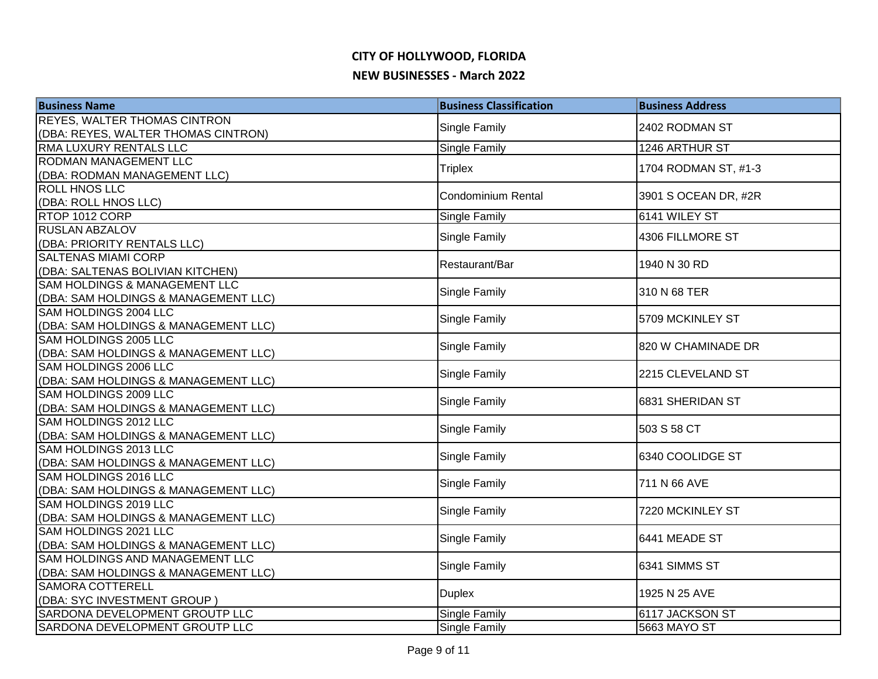| <b>Business Name</b>                                                         | <b>Business Classification</b> | <b>Business Address</b> |
|------------------------------------------------------------------------------|--------------------------------|-------------------------|
| <b>REYES, WALTER THOMAS CINTRON</b>                                          | Single Family                  | 2402 RODMAN ST          |
| (DBA: REYES, WALTER THOMAS CINTRON)                                          |                                |                         |
| <b>RMA LUXURY RENTALS LLC</b>                                                | Single Family                  | 1246 ARTHUR ST          |
| <b>RODMAN MANAGEMENT LLC</b>                                                 | <b>Triplex</b>                 | 1704 RODMAN ST, #1-3    |
| (DBA: RODMAN MANAGEMENT LLC)                                                 |                                |                         |
| <b>ROLL HNOS LLC</b>                                                         | <b>Condominium Rental</b>      | 3901 S OCEAN DR, #2R    |
| (DBA: ROLL HNOS LLC)                                                         |                                |                         |
| RTOP 1012 CORP                                                               | <b>Single Family</b>           | 6141 WILEY ST           |
| <b>RUSLAN ABZALOV</b>                                                        | Single Family                  | 4306 FILLMORE ST        |
| (DBA: PRIORITY RENTALS LLC)                                                  |                                |                         |
| <b>SALTENAS MIAMI CORP</b>                                                   | Restaurant/Bar                 | 1940 N 30 RD            |
| (DBA: SALTENAS BOLIVIAN KITCHEN)<br><b>SAM HOLDINGS &amp; MANAGEMENT LLC</b> |                                |                         |
| (DBA: SAM HOLDINGS & MANAGEMENT LLC)                                         | Single Family                  | 310 N 68 TER            |
| SAM HOLDINGS 2004 LLC                                                        |                                |                         |
| (DBA: SAM HOLDINGS & MANAGEMENT LLC)                                         | Single Family                  | 5709 MCKINLEY ST        |
| SAM HOLDINGS 2005 LLC                                                        |                                | 820 W CHAMINADE DR      |
| (DBA: SAM HOLDINGS & MANAGEMENT LLC)                                         | Single Family                  |                         |
| SAM HOLDINGS 2006 LLC                                                        | Single Family                  | 2215 CLEVELAND ST       |
| (DBA: SAM HOLDINGS & MANAGEMENT LLC)                                         |                                |                         |
| SAM HOLDINGS 2009 LLC                                                        | Single Family                  | 6831 SHERIDAN ST        |
| (DBA: SAM HOLDINGS & MANAGEMENT LLC)                                         |                                |                         |
| SAM HOLDINGS 2012 LLC                                                        | Single Family                  | 503 S 58 CT             |
| (DBA: SAM HOLDINGS & MANAGEMENT LLC)                                         |                                |                         |
| SAM HOLDINGS 2013 LLC                                                        | Single Family                  | 6340 COOLIDGE ST        |
| (DBA: SAM HOLDINGS & MANAGEMENT LLC)                                         |                                |                         |
| <b>SAM HOLDINGS 2016 LLC</b>                                                 | <b>Single Family</b>           | 711 N 66 AVE            |
| (DBA: SAM HOLDINGS & MANAGEMENT LLC)<br>SAM HOLDINGS 2019 LLC                |                                |                         |
| (DBA: SAM HOLDINGS & MANAGEMENT LLC)                                         | Single Family                  | 7220 MCKINLEY ST        |
| SAM HOLDINGS 2021 LLC                                                        |                                |                         |
| (DBA: SAM HOLDINGS & MANAGEMENT LLC)                                         | Single Family                  | 6441 MEADE ST           |
| SAM HOLDINGS AND MANAGEMENT LLC                                              |                                |                         |
| (DBA: SAM HOLDINGS & MANAGEMENT LLC)                                         | Single Family                  | 6341 SIMMS ST           |
| <b>SAMORA COTTERELL</b>                                                      |                                |                         |
| (DBA: SYC INVESTMENT GROUP)                                                  | <b>Duplex</b>                  | 1925 N 25 AVE           |
| SARDONA DEVELOPMENT GROUTP LLC                                               | Single Family                  | 6117 JACKSON ST         |
| SARDONA DEVELOPMENT GROUTP LLC                                               | <b>Single Family</b>           | 5663 MAYO ST            |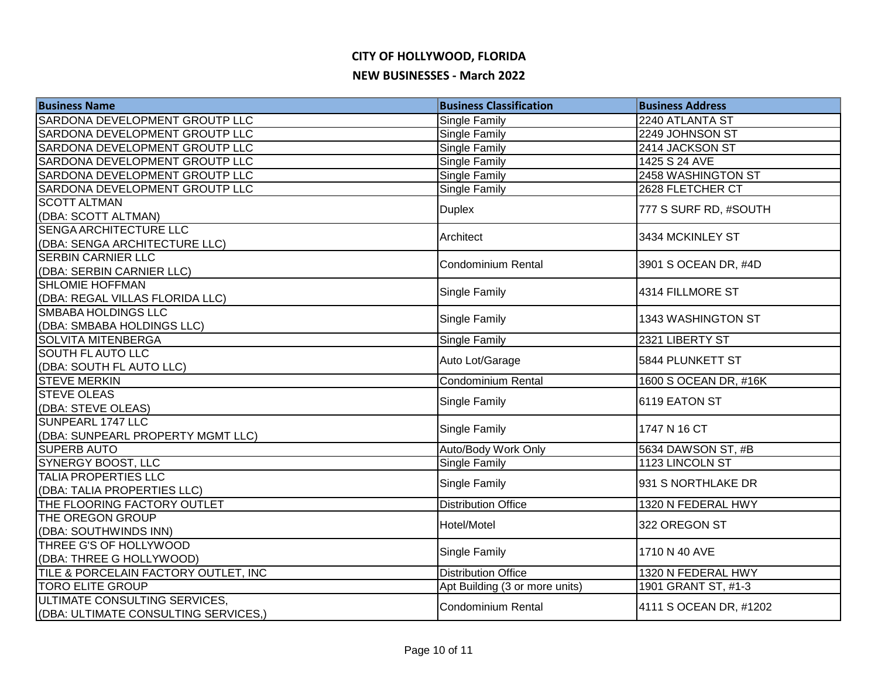| <b>Business Name</b>                      | <b>Business Classification</b> | <b>Business Address</b> |
|-------------------------------------------|--------------------------------|-------------------------|
| SARDONA DEVELOPMENT GROUTP LLC            | Single Family                  | 2240 ATLANTA ST         |
| SARDONA DEVELOPMENT GROUTP LLC            | Single Family                  | 2249 JOHNSON ST         |
| SARDONA DEVELOPMENT GROUTP LLC            | Single Family                  | 2414 JACKSON ST         |
| SARDONA DEVELOPMENT GROUTP LLC            | Single Family                  | 1425 S 24 AVE           |
| SARDONA DEVELOPMENT GROUTP LLC            | Single Family                  | 2458 WASHINGTON ST      |
| SARDONA DEVELOPMENT GROUTP LLC            | Single Family                  | 2628 FLETCHER CT        |
| <b>SCOTT ALTMAN</b>                       | <b>Duplex</b>                  | 777 S SURF RD, #SOUTH   |
| (DBA: SCOTT ALTMAN)                       |                                |                         |
| SENGA ARCHITECTURE LLC                    | Architect                      | 3434 MCKINLEY ST        |
| (DBA: SENGA ARCHITECTURE LLC)             |                                |                         |
| <b>SERBIN CARNIER LLC</b>                 | <b>Condominium Rental</b>      | 3901 S OCEAN DR, #4D    |
| (DBA: SERBIN CARNIER LLC)                 |                                |                         |
| <b>SHLOMIE HOFFMAN</b>                    | Single Family                  | 4314 FILLMORE ST        |
| (DBA: REGAL VILLAS FLORIDA LLC)           |                                |                         |
| <b>SMBABA HOLDINGS LLC</b>                | Single Family                  | 1343 WASHINGTON ST      |
| (DBA: SMBABA HOLDINGS LLC)                |                                |                         |
| <b>SOLVITA MITENBERGA</b>                 | Single Family                  | 2321 LIBERTY ST         |
| <b>SOUTH FLAUTO LLC</b>                   | Auto Lot/Garage                | 5844 PLUNKETT ST        |
| (DBA: SOUTH FL AUTO LLC)                  |                                |                         |
| <b>STEVE MERKIN</b><br><b>STEVE OLEAS</b> | Condominium Rental             | 1600 S OCEAN DR, #16K   |
|                                           | Single Family                  | 6119 EATON ST           |
| (DBA: STEVE OLEAS)<br>SUNPEARL 1747 LLC   |                                |                         |
| (DBA: SUNPEARL PROPERTY MGMT LLC)         | Single Family                  | 1747 N 16 CT            |
| <b>SUPERB AUTO</b>                        | Auto/Body Work Only            | 5634 DAWSON ST, #B      |
| SYNERGY BOOST, LLC                        | Single Family                  | 1123 LINCOLN ST         |
| TALIA PROPERTIES LLC                      |                                |                         |
| (DBA: TALIA PROPERTIES LLC)               | Single Family                  | 931 S NORTHLAKE DR      |
| THE FLOORING FACTORY OUTLET               | <b>Distribution Office</b>     | 1320 N FEDERAL HWY      |
| THE OREGON GROUP                          |                                |                         |
| (DBA: SOUTHWINDS INN)                     | Hotel/Motel                    | 322 OREGON ST           |
| THREE G'S OF HOLLYWOOD                    |                                |                         |
| (DBA: THREE G HOLLYWOOD)                  | Single Family                  | 1710 N 40 AVE           |
| TILE & PORCELAIN FACTORY OUTLET, INC      | <b>Distribution Office</b>     | 1320 N FEDERAL HWY      |
| <b>TORO ELITE GROUP</b>                   | Apt Building (3 or more units) | 1901 GRANT ST, #1-3     |
| ULTIMATE CONSULTING SERVICES,             | Condominium Rental             | 4111 S OCEAN DR, #1202  |
| (DBA: ULTIMATE CONSULTING SERVICES,)      |                                |                         |